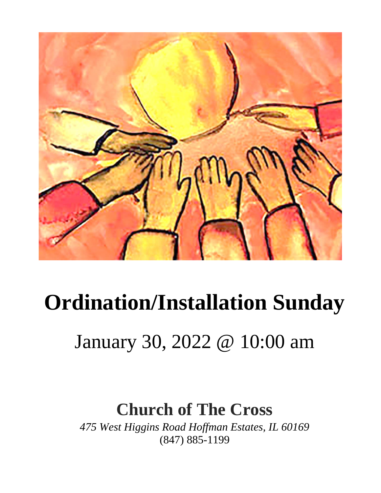

## **Ordination/Installation Sunday**

## January 30, 2022 @ 10:00 am

## **Church of The Cross**

*475 West Higgins Road Hoffman Estates, IL 60169* (847) 885-1199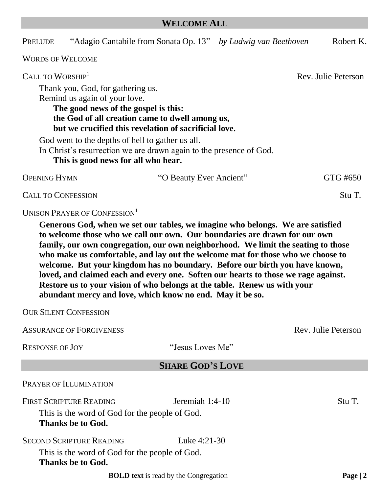#### **WELCOME ALL**

| PRELUDE                      | "Adagio Cantabile from Sonata Op. 13" by Ludwig van Beethoven                                                                                                                                                          |                         | Robert K.           |
|------------------------------|------------------------------------------------------------------------------------------------------------------------------------------------------------------------------------------------------------------------|-------------------------|---------------------|
| <b>WORDS OF WELCOME</b>      |                                                                                                                                                                                                                        |                         |                     |
| CALL TO WORSHIP <sup>1</sup> | Thank you, God, for gathering us.<br>Remind us again of your love.<br>The good news of the gospel is this:<br>the God of all creation came to dwell among us,<br>but we crucified this revelation of sacrificial love. |                         | Rev. Julie Peterson |
|                              | God went to the depths of hell to gather us all.<br>In Christ's resurrection we are drawn again to the presence of God.<br>This is good news for all who hear.                                                         |                         |                     |
| <b>OPENING HYMN</b>          |                                                                                                                                                                                                                        | "O Beauty Ever Ancient" | GTG #650            |
| <b>CALL TO CONFESSION</b>    |                                                                                                                                                                                                                        |                         | Stu T.              |
|                              | UNISON PRAYER OF CONFESSION <sup>1</sup>                                                                                                                                                                               |                         |                     |

**Generous God, when we set our tables, we imagine who belongs. We are satisfied to welcome those who we call our own. Our boundaries are drawn for our own family, our own congregation, our own neighborhood. We limit the seating to those who make us comfortable, and lay out the welcome mat for those who we choose to welcome. But your kingdom has no boundary. Before our birth you have known, loved, and claimed each and every one. Soften our hearts to those we rage against. Restore us to your vision of who belongs at the table. Renew us with your abundant mercy and love, which know no end. May it be so.**

OUR SILENT CONFESSION

| <b>ASSURANCE OF FORGIVENESS</b>                                                                       |                                              | Rev. Julie Peterson |
|-------------------------------------------------------------------------------------------------------|----------------------------------------------|---------------------|
| <b>RESPONSE OF JOY</b>                                                                                | "Jesus Loves Me"                             |                     |
|                                                                                                       | <b>SHARE GOD'S LOVE</b>                      |                     |
| PRAYER OF ILLUMINATION                                                                                |                                              |                     |
| <b>FIRST SCRIPTURE READING</b><br>This is the word of God for the people of God.<br>Thanks be to God. | Jeremiah 1:4-10                              | Stu T.              |
| <b>SECOND SCRIPTURE READING</b>                                                                       | Luke $4:21-30$                               |                     |
| This is the word of God for the people of God.<br><b>Thanks be to God.</b>                            |                                              |                     |
|                                                                                                       | <b>BOLD</b> text is read by the Congregation | Page $ 2$           |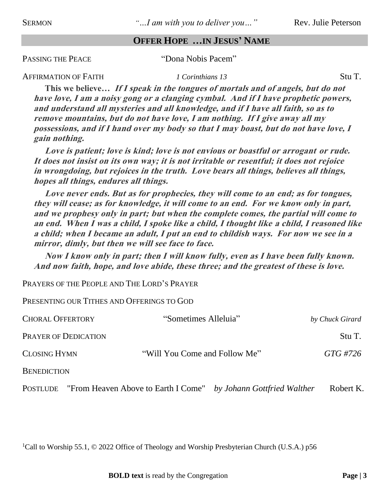SERMON *"<sup><i>m*</sup> *m M*<sup>*m*</sup> *mith you to deliver you m*<sup>*n*</sup> Rev. Julie Peterson

#### **OFFER HOPE …IN JESUS' NAME**

PASSING THE PEACE "Dona Nobis Pacem"

AFFIRMATION OF FAITH *1 Corinthians 13* Stu T. **This we believe… If I speak in the tongues of mortals and of angels, but do not have love, I am a noisy gong or a clanging cymbal. And if I have prophetic powers, and understand all mysteries and all knowledge, and if I have all faith, so as to remove mountains, but do not have love, I am nothing. If I give away all my possessions, and if I hand over my body so that I may boast, but do not have love, I gain nothing.**

**Love is patient; love is kind; love is not envious or boastful or arrogant or rude. It does not insist on its own way; it is not irritable or resentful; it does not rejoice in wrongdoing, but rejoices in the truth. Love bears all things, believes all things, hopes all things, endures all things.**

**Love never ends. But as for prophecies, they will come to an end; as for tongues, they will cease; as for knowledge, it will come to an end. For we know only in part, and we prophesy only in part; but when the complete comes, the partial will come to an end. When I was a child, I spoke like a child, I thought like a child, I reasoned like a child; when I became an adult, I put an end to childish ways. For now we see in a mirror, dimly, but then we will see face to face.** 

**Now I know only in part; then I will know fully, even as I have been fully known. And now faith, hope, and love abide, these three; and the greatest of these is love.**

PRAYERS OF THE PEOPLE AND THE LORD'S PRAYER

PRESENTING OUR TITHES AND OFFERINGS TO GOD

| <b>CHORAL OFFERTORY</b>     | "Sometimes Alleluia"                                                            | by Chuck Girard |
|-----------------------------|---------------------------------------------------------------------------------|-----------------|
| <b>PRAYER OF DEDICATION</b> |                                                                                 | Stu T.          |
| <b>CLOSING HYMN</b>         | "Will You Come and Follow Me"                                                   | GTG #726        |
| <b>BENEDICTION</b>          |                                                                                 |                 |
|                             | <b>POSTLUDE</b> "From Heaven Above to Earth I Come" by Johann Gottfried Walther | Robert K.       |

<sup>1</sup>Call to Worship 55.1, © 2022 Office of Theology and Worship Presbyterian Church (U.S.A.) p56

**BOLD text** is read by the Congregation **Page | 3**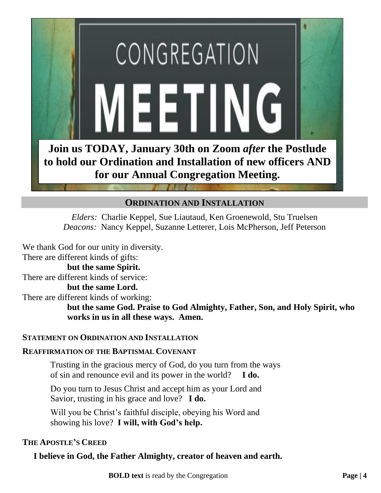

#### **ORDINATION AND INSTALLATION**

*Elders:* Charlie Keppel, Sue Liautaud, Ken Groenewold, Stu Truelsen *Deacons:* Nancy Keppel, Suzanne Letterer, Lois McPherson, Jeff Peterson

We thank God for our unity in diversity. There are different kinds of gifts:

#### **but the same Spirit.**

There are different kinds of service:

#### **but the same Lord.**

There are different kinds of working:

**but the same God. Praise to God Almighty, Father, Son, and Holy Spirit, who works in us in all these ways. Amen.**

#### **STATEMENT ON ORDINATION AND INSTALLATION**

#### **REAFFIRMATION OF THE BAPTISMAL COVENANT**

Trusting in the gracious mercy of God, do you turn from the ways of sin and renounce evil and its power in the world? **I do.**

Do you turn to Jesus Christ and accept him as your Lord and Savior, trusting in his grace and love? **I do.**

Will you be Christ's faithful disciple, obeying his Word and showing his love? **I will, with God's help.**

#### **THE APOSTLE'S CREED**

#### **I believe in God, the Father Almighty, creator of heaven and earth.**

**BOLD text** is read by the Congregation **Page | 4**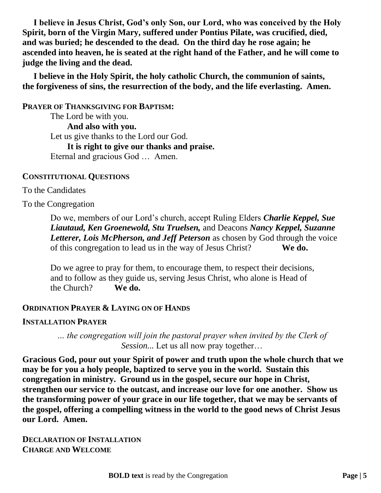**I believe in Jesus Christ, God's only Son, our Lord, who was conceived by the Holy Spirit, born of the Virgin Mary, suffered under Pontius Pilate, was crucified, died, and was buried; he descended to the dead. On the third day he rose again; he ascended into heaven, he is seated at the right hand of the Father, and he will come to judge the living and the dead.**

**I believe in the Holy Spirit, the holy catholic Church, the communion of saints, the forgiveness of sins, the resurrection of the body, and the life everlasting. Amen.**

**PRAYER OF THANKSGIVING FOR BAPTISM:** The Lord be with you. **And also with you.** Let us give thanks to the Lord our God. **It is right to give our thanks and praise.** Eternal and gracious God … Amen.

#### **CONSTITUTIONAL QUESTIONS**

#### To the Candidates

To the Congregation

Do we, members of our Lord's church, accept Ruling Elders *Charlie Keppel, Sue Liautaud, Ken Groenewold, Stu Truelsen,* and Deacons *Nancy Keppel, Suzanne Letterer, Lois McPherson, and Jeff Peterson* as chosen by God through the voice of this congregation to lead us in the way of Jesus Christ? **We do.**

Do we agree to pray for them, to encourage them, to respect their decisions, and to follow as they guide us, serving Jesus Christ, who alone is Head of the Church? **We do.**

#### **ORDINATION PRAYER & LAYING ON OF HANDS**

#### **INSTALLATION PRAYER**

*… the congregation will join the pastoral prayer when invited by the Clerk of Session...* Let us all now pray together…

**Gracious God, pour out your Spirit of power and truth upon the whole church that we may be for you a holy people, baptized to serve you in the world. Sustain this congregation in ministry. Ground us in the gospel, secure our hope in Christ, strengthen our service to the outcast, and increase our love for one another. Show us the transforming power of your grace in our life together, that we may be servants of the gospel, offering a compelling witness in the world to the good news of Christ Jesus our Lord. Amen.**

**DECLARATION OF INSTALLATION CHARGE AND WELCOME**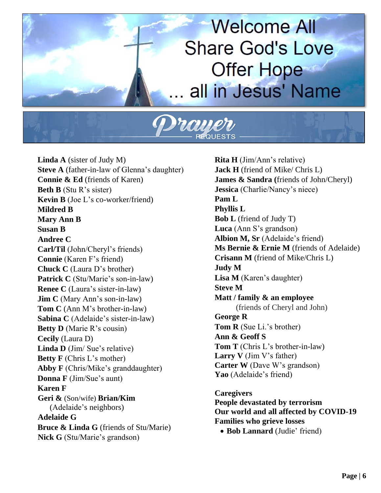## **Welcome All Share God's Love Offer Hope** all in Jesus' Name

**Linda A** (sister of Judy M) **Steve A** (father-in-law of Glenna's daughter) **Connie & Ed** (friends of Karen) **Beth B** (Stu R's sister) **Kevin B** (Joe L's co-worker/friend) **Mildred B Mary Ann B Susan B Andree C Carl/Til** (John/Cheryl's friends) **Connie** (Karen F's friend) **Chuck C** (Laura D's brother) Patrick C (Stu/Marie's son-in-law) **Renee C** (Laura's sister-in-law) **Jim C** (Mary Ann's son-in-law) **Tom C** (Ann M's brother-in-law) **Sabina C** (Adelaide's sister-in-law) **Betty D** (Marie R's cousin) **Cecily** (Laura D) **Linda D** (Jim/ Sue's relative) **Betty F** (Chris L's mother) Abby **F** (Chris/Mike's granddaughter) **Donna F** (Jim/Sue's aunt) **Karen F Geri &** (Son/wife) **Brian/Kim**  (Adelaide's neighbors) **Adelaide G Bruce & Linda G** (friends of Stu/Marie) **Nick G** (Stu/Marie's grandson)

**Rita H** (Jim/Ann's relative) **Jack H** (friend of Mike/ Chris L) **James & Sandra (**friends of John/Cheryl) **Jessica** (Charlie/Nancy's niece) **Pam L Phyllis L Bob L** (friend of Judy T) **Luca** (Ann S's grandson) **Albion M, Sr** (Adelaide's friend) **Ms Bernie & Ernie M** (friends of Adelaide) **Crisann M** (friend of Mike/Chris L) **Judy M Lisa M** (Karen's daughter) **Steve M Matt / family & an employee** (friends of Cheryl and John) **George R Tom R** (Sue Li.'s brother) **Ann & Geoff S Tom T** (Chris L's brother-in-law) **Larry V** (Jim V's father) **Carter W** (Dave W's grandson) **Yao** (Adelaide's friend) **Caregivers** 

**People devastated by terrorism Our world and all affected by COVID-19 Families who grieve losses**

• **Bob Lannard** (Judie' friend)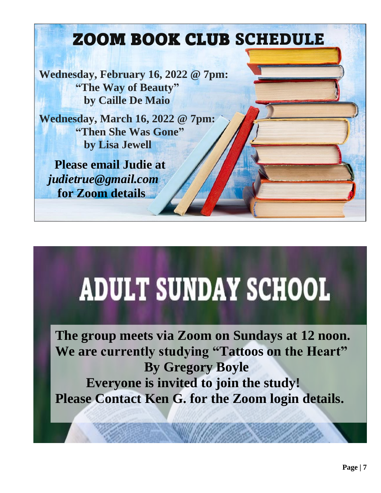## ZOOM BOOK CLUB SCHEDULE

**Wednesday, February 16, 2022 @ 7pm: "The Way of Beauty" by Caille De Maio**

**Wednesday, March 16, 2022 @ 7pm: "Then She Was Gone" by Lisa Jewell**

 **Please email Judie at** *[judietrue@gmail.com](mailto:judietrue@gmail.com)*  **for Zoom details**

# **ADULT SUNDAY SCHOOL**

**The group meets via Zoom on Sundays at 12 noon. We are currently studying "Tattoos on the Heart" By Gregory Boyle Everyone is invited to join the study! Please Contact Ken G. for the Zoom login details.**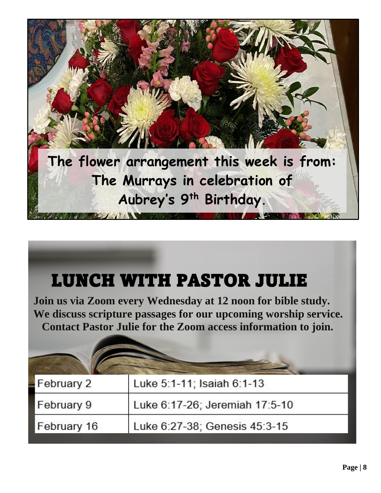

## LUNCH WITH PASTOR JULIE

**Join us via Zoom every Wednesday at 12 noon for bible study. We discuss scripture passages for our upcoming worship service. Contact Pastor Julie for the Zoom access information to join.**

| February 2  | Luke 5:1-11; Isaiah 6:1-13     |
|-------------|--------------------------------|
| February 9  | Luke 6:17-26; Jeremiah 17:5-10 |
| February 16 | Luke 6:27-38; Genesis 45:3-15  |
|             |                                |